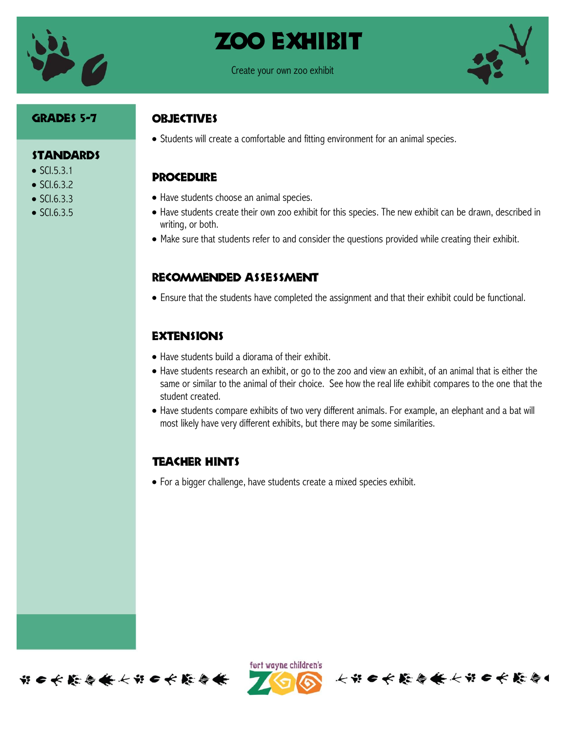

## Zoo exhibit



#### Grades 5-7

**STANDARDS** 

 $\bullet$  SCI.5.3.1  $\bullet$  SCI.6.3.2  $\bullet$  SCI.6.3.3  $\bullet$  SCI.6.3.5

## **OBJECTIVES**

Students will create a comfortable and fitting environment for an animal species.

## **PROCEDURE**

- Have students choose an animal species.
- Have students create their own zoo exhibit for this species. The new exhibit can be drawn, described in writing, or both.
- Make sure that students refer to and consider the questions provided while creating their exhibit.

#### Recommended assessment

Ensure that the students have completed the assignment and that their exhibit could be functional.

## **EXTENSIONS**

- Have students build a diorama of their exhibit.
- Have students research an exhibit, or go to the zoo and view an exhibit, of an animal that is either the same or similar to the animal of their choice. See how the real life exhibit compares to the one that the student created.
- Have students compare exhibits of two very different animals. For example, an elephant and a bat will most likely have very different exhibits, but there may be some similarities.

## Teacher hints

For a bigger challenge, have students create a mixed species exhibit.





长部6长能每条长部6长能每